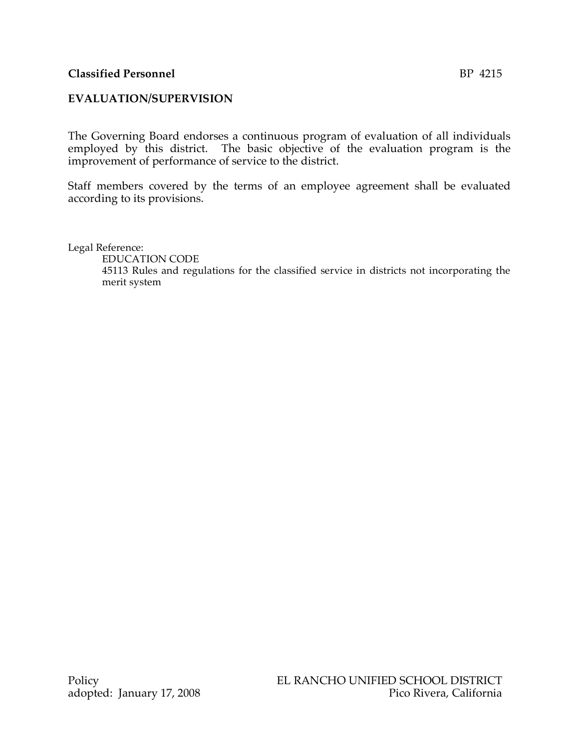## **Classified Personnel** BP 4215

## **EVALUATION/SUPERVISION**

The Governing Board endorses a continuous program of evaluation of all individuals employed by this district. The basic objective of the evaluation program is the improvement of performance of service to the district.

Staff members covered by the terms of an employee agreement shall be evaluated according to its provisions.

Legal Reference:

EDUCATION CODE

45113 Rules and regulations for the classified service in districts not incorporating the merit system